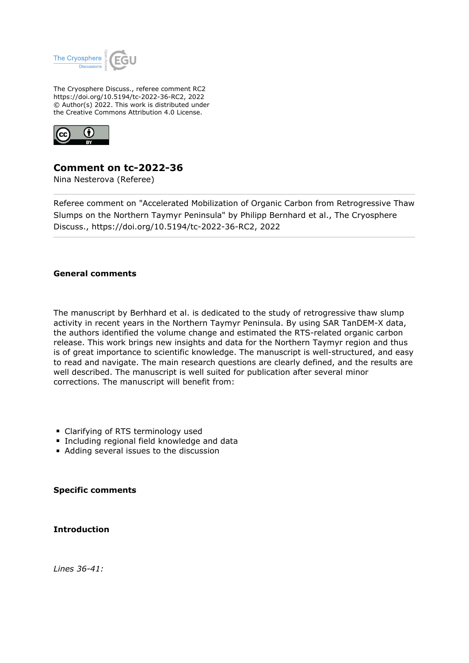

The Cryosphere Discuss., referee comment RC2 https://doi.org/10.5194/tc-2022-36-RC2, 2022 © Author(s) 2022. This work is distributed under the Creative Commons Attribution 4.0 License.



# **Comment on tc-2022-36**

Nina Nesterova (Referee)

Referee comment on "Accelerated Mobilization of Organic Carbon from Retrogressive Thaw Slumps on the Northern Taymyr Peninsula" by Philipp Bernhard et al., The Cryosphere Discuss., https://doi.org/10.5194/tc-2022-36-RC2, 2022

## **General comments**

The manuscript by Berhhard et al. is dedicated to the study of retrogressive thaw slump activity in recent years in the Northern Taymyr Peninsula. By using SAR TanDEM-X data, the authors identified the volume change and estimated the RTS-related organic carbon release. This work brings new insights and data for the Northern Taymyr region and thus is of great importance to scientific knowledge. The manuscript is well-structured, and easy to read and navigate. The main research questions are clearly defined, and the results are well described. The manuscript is well suited for publication after several minor corrections. The manuscript will benefit from:

- **Clarifying of RTS terminology used**
- **Including regional field knowledge and data**
- Adding several issues to the discussion

**Specific comments**

**Introduction**

*Lines 36-41:*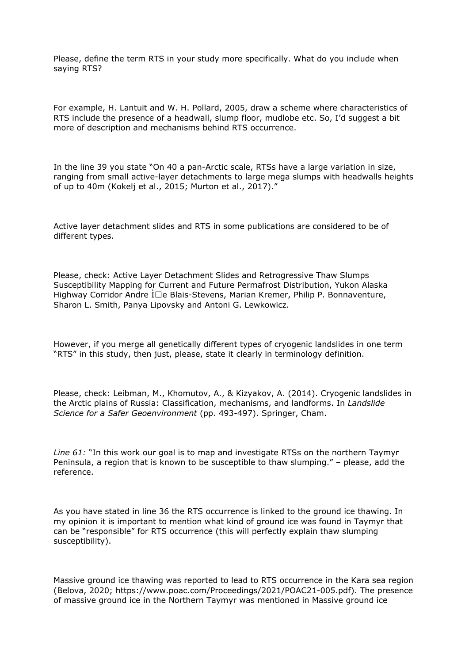Please, define the term RTS in your study more specifically. What do you include when saying RTS?

For example, H. Lantuit and W. H. Pollard, 2005, draw a scheme where characteristics of RTS include the presence of a headwall, slump floor, mudlobe etc. So, I'd suggest a bit more of description and mechanisms behind RTS occurrence.

In the line 39 you state "On 40 a pan-Arctic scale, RTSs have a large variation in size, ranging from small active-layer detachments to large mega slumps with headwalls heights of up to 40m (Kokelj et al., 2015; Murton et al., 2017)."

Active layer detachment slides and RTS in some publications are considered to be of different types.

Please, check: Active Layer Detachment Slides and Retrogressive Thaw Slumps Susceptibility Mapping for Current and Future Permafrost Distribution, Yukon Alaska Highway Corridor Andre  $\overline{I} \Box e$  Blais-Stevens, Marian Kremer, Philip P. Bonnaventure, Sharon L. Smith, Panya Lipovsky and Antoni G. Lewkowicz.

However, if you merge all genetically different types of cryogenic landslides in one term "RTS" in this study, then just, please, state it clearly in terminology definition.

Please, check: Leibman, M., Khomutov, A., & Kizyakov, A. (2014). Cryogenic landslides in the Arctic plains of Russia: Classification, mechanisms, and landforms. In *Landslide Science for a Safer Geoenvironment* (pp. 493-497). Springer, Cham.

*Line 61:* "In this work our goal is to map and investigate RTSs on the northern Taymyr Peninsula, a region that is known to be susceptible to thaw slumping." – please, add the reference.

As you have stated in line 36 the RTS occurrence is linked to the ground ice thawing. In my opinion it is important to mention what kind of ground ice was found in Taymyr that can be "responsible" for RTS occurrence (this will perfectly explain thaw slumping susceptibility).

Massive ground ice thawing was reported to lead to RTS occurrence in the Kara sea region (Belova, 2020; https://www.poac.com/Proceedings/2021/POAC21-005.pdf). The presence of massive ground ice in the Northern Taymyr was mentioned in Massive ground ice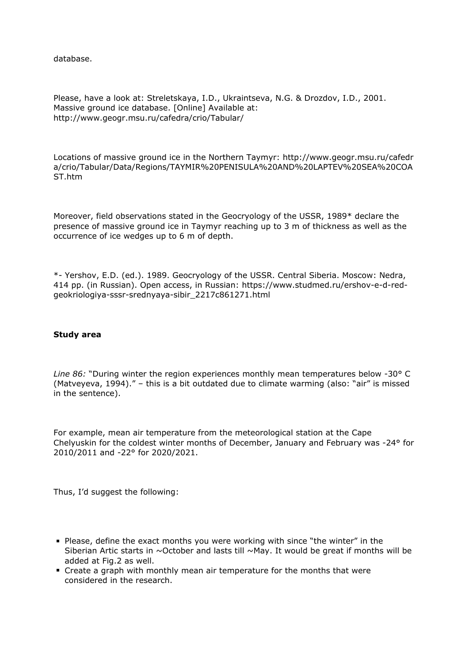database.

Please, have a look at: Streletskaya, I.D., Ukraintseva, N.G. & Drozdov, I.D., 2001. Massive ground ice database. [Online] Available at: http://www.geogr.msu.ru/cafedra/crio/Tabular/

Locations of massive ground ice in the Northern Taymyr: http://www.geogr.msu.ru/cafedr a/crio/Tabular/Data/Regions/TAYMIR%20PENISULA%20AND%20LAPTEV%20SEA%20COA ST.htm

Moreover, field observations stated in the Geocryology of the USSR, 1989\* declare the presence of massive ground ice in Taymyr reaching up to 3 m of thickness as well as the occurrence of ice wedges up to 6 m of depth.

\*- Yershov, E.D. (ed.). 1989. Geocryology of the USSR. Central Siberia. Moscow: Nedra, 414 pp. (in Russian). Open access, in Russian: https://www.studmed.ru/ershov-e-d-redgeokriologiya-sssr-srednyaya-sibir\_2217c861271.html

#### **Study area**

*Line 86:* "During winter the region experiences monthly mean temperatures below -30° C (Matveyeva, 1994)." – this is a bit outdated due to climate warming (also: "air" is missed in the sentence).

For example, mean air temperature from the meteorological station at the Cape Chelyuskin for the coldest winter months of December, January and February was -24° for 2010/2011 and -22° for 2020/2021.

Thus, I'd suggest the following:

- Please, define the exact months you were working with since "the winter" in the Siberian Artic starts in  $\sim$ October and lasts till  $\sim$ May. It would be great if months will be added at Fig.2 as well.
- Create a graph with monthly mean air temperature for the months that were considered in the research.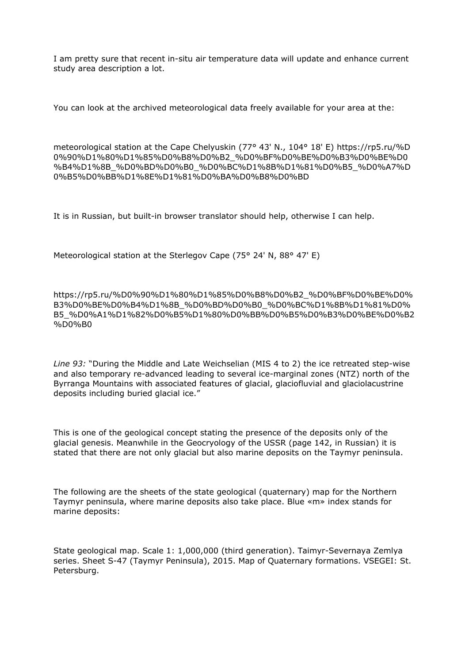I am pretty sure that recent in-situ air temperature data will update and enhance current study area description a lot.

You can look at the archived meteorological data freely available for your area at the:

meteorological station at the Cape Chelyuskin (77° 43' N., 104° 18' E) https://rp5.ru/%D 0%90%D1%80%D1%85%D0%B8%D0%B2\_%D0%BF%D0%BE%D0%B3%D0%BE%D0 %B4%D1%8B\_%D0%BD%D0%B0\_%D0%BC%D1%8B%D1%81%D0%B5\_%D0%A7%D 0%B5%D0%BB%D1%8E%D1%81%D0%BA%D0%B8%D0%BD

It is in Russian, but built-in browser translator should help, otherwise I can help.

Meteorological station at the Sterlegov Cape (75° 24' N, 88° 47' E)

https://rp5.ru/%D0%90%D1%80%D1%85%D0%B8%D0%B2\_%D0%BF%D0%BE%D0% B3%D0%BE%D0%B4%D1%8B\_%D0%BD%D0%B0\_%D0%BC%D1%8B%D1%81%D0% B5\_%D0%A1%D1%82%D0%B5%D1%80%D0%BB%D0%B5%D0%B3%D0%BE%D0%B2 %D0%B0

*Line 93:* "During the Middle and Late Weichselian (MIS 4 to 2) the ice retreated step-wise and also temporary re-advanced leading to several ice-marginal zones (NTZ) north of the Byrranga Mountains with associated features of glacial, glaciofluvial and glaciolacustrine deposits including buried glacial ice."

This is one of the geological concept stating the presence of the deposits only of the glacial genesis. Meanwhile in the Geocryology of the USSR (page 142, in Russian) it is stated that there are not only glacial but also marine deposits on the Taymyr peninsula.

The following are the sheets of the state geological (quaternary) map for the Northern Taymyr peninsula, where marine deposits also take place. Blue «m» index stands for marine deposits:

State geological map. Scale 1: 1,000,000 (third generation). Taimyr-Severnaya Zemlya series. Sheet S-47 (Taymyr Peninsula), 2015. Map of Quaternary formations. VSEGEI: St. Petersburg.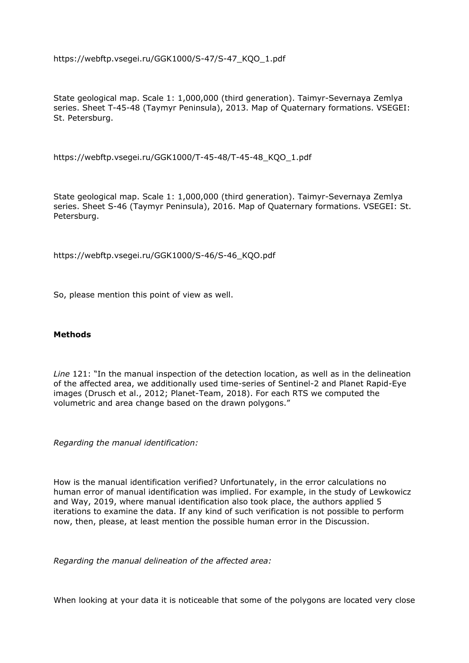https://webftp.vsegei.ru/GGK1000/S-47/S-47\_KQO\_1.pdf

State geological map. Scale 1: 1,000,000 (third generation). Taimyr-Severnaya Zemlya series. Sheet T-45-48 (Taymyr Peninsula), 2013. Map of Quaternary formations. VSEGEI: St. Petersburg.

https://webftp.vsegei.ru/GGK1000/T-45-48/T-45-48\_KQO\_1.pdf

State geological map. Scale 1: 1,000,000 (third generation). Taimyr-Severnaya Zemlya series. Sheet S-46 (Taymyr Peninsula), 2016. Map of Quaternary formations. VSEGEI: St. Petersburg.

https://webftp.vsegei.ru/GGK1000/S-46/S-46\_KQO.pdf

So, please mention this point of view as well.

#### **Methods**

*Line* 121: "In the manual inspection of the detection location, as well as in the delineation of the affected area, we additionally used time-series of Sentinel-2 and Planet Rapid-Eye images (Drusch et al., 2012; Planet-Team, 2018). For each RTS we computed the volumetric and area change based on the drawn polygons."

*Regarding the manual identification:*

How is the manual identification verified? Unfortunately, in the error calculations no human error of manual identification was implied. For example, in the study of Lewkowicz and Way, 2019, where manual identification also took place, the authors applied 5 iterations to examine the data. If any kind of such verification is not possible to perform now, then, please, at least mention the possible human error in the Discussion.

*Regarding the manual delineation of the affected area:*

When looking at your data it is noticeable that some of the polygons are located very close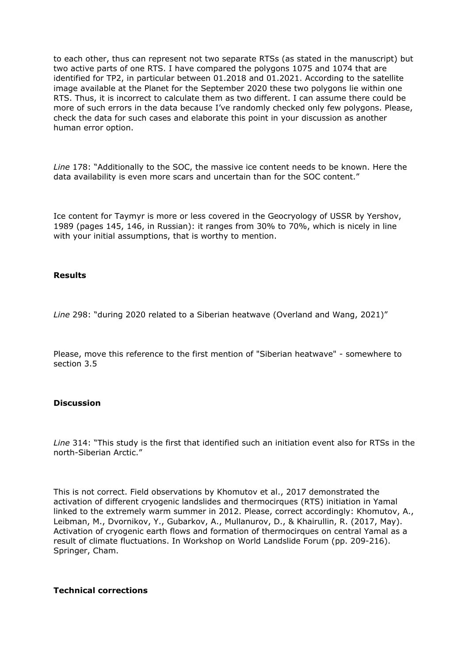to each other, thus can represent not two separate RTSs (as stated in the manuscript) but two active parts of one RTS. I have compared the polygons 1075 and 1074 that are identified for TP2, in particular between 01.2018 and 01.2021. According to the satellite image available at the Planet for the September 2020 these two polygons lie within one RTS. Thus, it is incorrect to calculate them as two different. I can assume there could be more of such errors in the data because I've randomly checked only few polygons. Please, check the data for such cases and elaborate this point in your discussion as another human error option.

*Line* 178: "Additionally to the SOC, the massive ice content needs to be known. Here the data availability is even more scars and uncertain than for the SOC content."

Ice content for Taymyr is more or less covered in the Geocryology of USSR by Yershov, 1989 (pages 145, 146, in Russian): it ranges from 30% to 70%, which is nicely in line with your initial assumptions, that is worthy to mention.

#### **Results**

*Line* 298: "during 2020 related to a Siberian heatwave (Overland and Wang, 2021)"

Please, move this reference to the first mention of "Siberian heatwave" - somewhere to section 3.5

#### **Discussion**

*Line* 314: "This study is the first that identified such an initiation event also for RTSs in the north-Siberian Arctic."

This is not correct. Field observations by Khomutov et al., 2017 demonstrated the activation of different cryogenic landslides and thermocirques (RTS) initiation in Yamal linked to the extremely warm summer in 2012. Please, correct accordingly: Khomutov, A., Leibman, M., Dvornikov, Y., Gubarkov, A., Mullanurov, D., & Khairullin, R. (2017, May). Activation of cryogenic earth flows and formation of thermocirques on central Yamal as a result of climate fluctuations. In Workshop on World Landslide Forum (pp. 209-216). Springer, Cham.

#### **Technical corrections**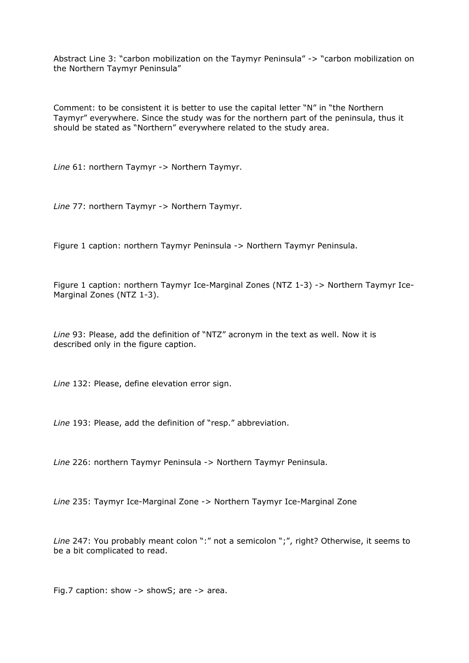Abstract Line 3: "carbon mobilization on the Taymyr Peninsula" -> "carbon mobilization on the Northern Taymyr Peninsula"

Comment: to be consistent it is better to use the capital letter "N" in "the Northern Taymyr" everywhere. Since the study was for the northern part of the peninsula, thus it should be stated as "Northern" everywhere related to the study area.

*Line* 61: northern Taymyr -> Northern Taymyr.

*Line* 77: northern Taymyr -> Northern Taymyr.

Figure 1 caption: northern Taymyr Peninsula -> Northern Taymyr Peninsula.

Figure 1 caption: northern Taymyr Ice-Marginal Zones (NTZ 1-3) -> Northern Taymyr Ice-Marginal Zones (NTZ 1-3).

*Line* 93: Please, add the definition of "NTZ" acronym in the text as well. Now it is described only in the figure caption.

*Line* 132: Please, define elevation error sign.

*Line* 193: Please, add the definition of "resp." abbreviation.

*Line* 226: northern Taymyr Peninsula -> Northern Taymyr Peninsula.

*Line* 235: Taymyr Ice-Marginal Zone -> Northern Taymyr Ice-Marginal Zone

*Line* 247: You probably meant colon ":" not a semicolon ";", right? Otherwise, it seems to be a bit complicated to read.

Fig.7 caption: show -> showS; are -> area.